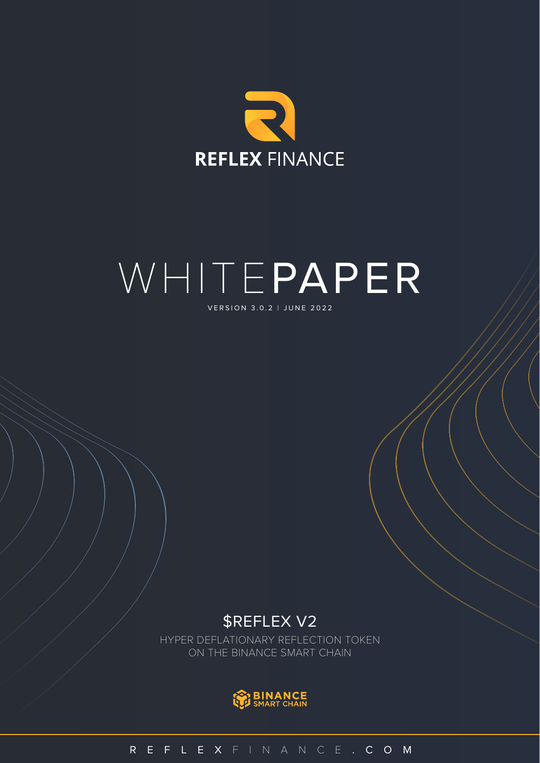

# VERSION 3.0.2 | JUNE 2022 WHITEPAPER

## \$REFLEX V2

HYPER DEFLATIONARY REFLECTION TOKEN ON THE BINANCE SMART CHAIN



REFLEX FINANCE .COM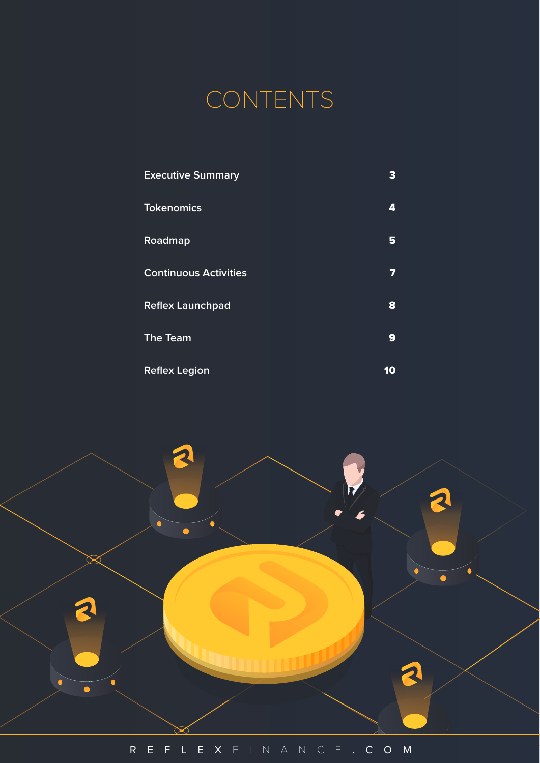

| <b>Executive Summary</b>     | з  |
|------------------------------|----|
| <b>Tokenomics</b>            | 4  |
| Roadmap                      | 5  |
| <b>Continuous Activities</b> | 7  |
| <b>Reflex Launchpad</b>      | 8  |
| <b>The Team</b>              | 9  |
| <b>Reflex Legion</b>         | 10 |

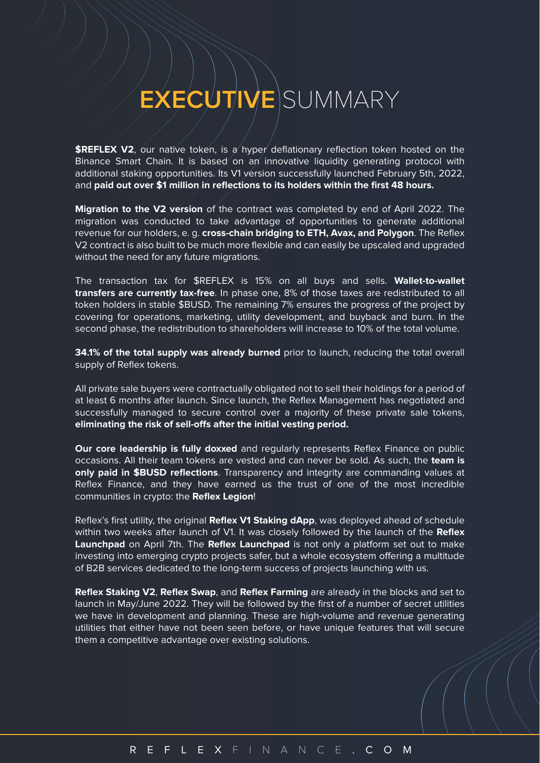## **EXECUTIVE** SUMMARY

**\$REFLEX V2**, our native token, is a hyper deflationary reflection token hosted on the Binance Smart Chain. It is based on an innovative liquidity generating protocol with additional staking opportunities. Its V1 version successfully launched February 5th, 2022, and **paid out over \$1 million in reflections to its holders within the first 48 hours.**

**Migration to the V2 version** of the contract was completed by end of April 2022. The migration was conducted to take advantage of opportunities to generate additional revenue for our holders, e. g. **cross-chain bridging to ETH, Avax, and Polygon**. The Reflex V2 contract is also built to be much more flexible and can easily be upscaled and upgraded without the need for any future migrations.

The transaction tax for \$REFLEX is 15% on all buys and sells. **Wallet-to-wallet transfers are currently tax-free**. In phase one, 8% of those taxes are redistributed to all token holders in stable \$BUSD. The remaining 7% ensures the progress of the project by covering for operations, marketing, utility development, and buyback and burn. In the second phase, the redistribution to shareholders will increase to 10% of the total volume.

**34.1% of the total supply was already burned** prior to launch, reducing the total overall supply of Reflex tokens.

All private sale buyers were contractually obligated not to sell their holdings for a period of at least 6 months after launch. Since launch, the Reflex Management has negotiated and successfully managed to secure control over a majority of these private sale tokens, eliminating the risk of sell-offs after the initial vesting period.

**Our core leadership is fully doxxed** and regularly represents Reflex Finance on public occasions. All their team tokens are vested and can never be sold. As such, the **team is only paid in \$BUSD reflections**. Transparency and integrity are commanding values at Reflex Finance, and they have earned us the trust of one of the most incredible communities in crypto: the **Reflex Legion**!

Reflex's first utility, the original **Reflex V1 Staking dApp**, was deployed ahead of schedule within two weeks after launch of V1. It was closely followed by the launch of the **Reflex Launchpad** on April 7th. The **Reflex Launchpad** is not only a platform set out to make investing into emerging crypto projects safer, but a whole ecosystem offering a multitude of B2B services dedicated to the long-term success of projects launching with us.

**Reflex Staking V2**, **Reflex Swap**, and **Reflex Farming** are already in the blocks and set to launch in May/June 2022. They will be followed by the first of a number of secret utilities we have in development and planning. These are high-volume and revenue generating utilities that either have not been seen before, or have unique features that will secure them a competitive advantage over existing solutions.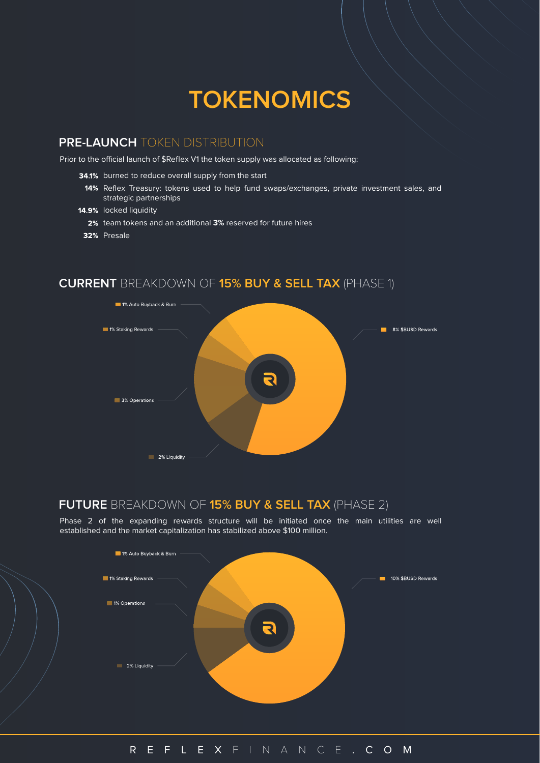## **TOKENOMICS**

### **PRE-LAUNCH** TOKEN DISTRIBUTION

Prior to the official launch of \$Reflex V1 the token supply was allocated as following:

- 34.1% burned to reduce overall supply from the start
	- 14% Reflex Treasury: tokens used to help fund swaps/exchanges, private investment sales, and strategic partnerships
- 14.9% locked liquidity
	- 2% team tokens and an additional 3% reserved for future hires
- 32% Presale

### **CURRENT** BREAKDOWN OF **15% BUY & SELL TAX** (PHASE 1)



### **FUTURE** BREAKDOWN OF **15% BUY & SELL TAX** (PHASE 2)

Phase 2 of the expanding rewards structure will be initiated once the main utilities are well established and the market capitalization has stabilized above \$100 million.

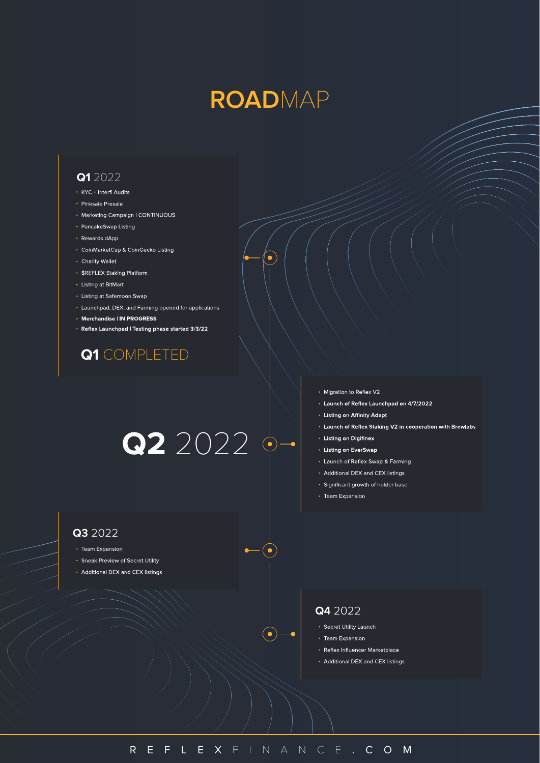## **ROAD**MAP

ò

#### **Q1** 2022

- KYC + Interfi Audits
- Pinksale Presale
- Marketing Campaign | CONTINUOUS
- PancakeSwap Listing
- Rewards dApp
- CoinMarketCap & CoinGecko Listing
- Charity Wallet
- \$REFLEX Staking Platform
- Listing at BitMart
- Listing at Safemoon Swap
- Launchpad, DEX, and Farming opened for applications
- Merchandise | IN PROGRESS
- Reflex Launchpad | Testing phase started 3/3/22

## **Q1** COMPLETED

# **Q2** 2022

- Q3 2022
- Team Expansion
- Sneak Preview of Secret Utility
- Additional DEX and CEX listings
- Migration to Reflex V2
- Launch of Reflex Launchpad on 4/7/2022
- Listing on Affinity Adapt
- Launch of Reflex Staking V2 in cooperation with Brewlabs
- Listing on Digifinex
- Listing on EverSwap
- Launch of Reflex Swap & Farming
- Additional DEX and CEX listings
- · Significant growth of holder base
- Team Expansion

### Q4 2022

- Secret Utility Launch
- Team Expansion
- Reflex Influencer Marketplace
- Additional DEX and CEX listings

 $-(\bullet)$ 

 $\bullet$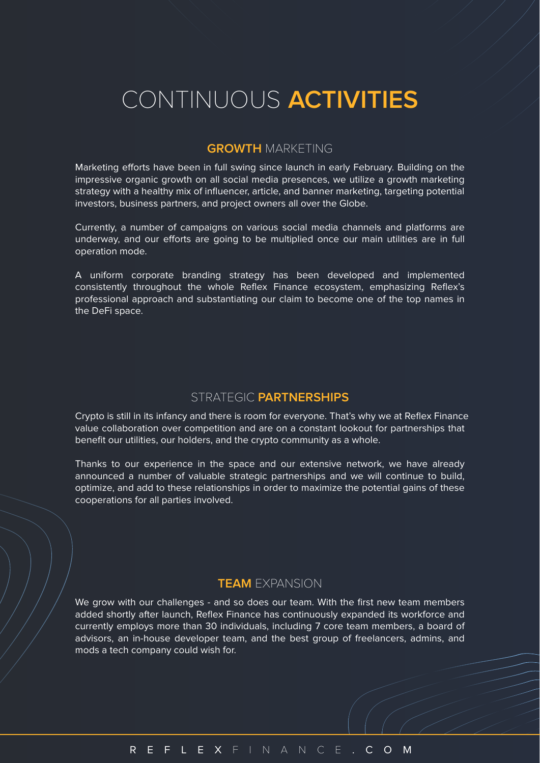## CONTINUOUS **ACTIVITIES**

### **GROWTH** MARKETING

Marketing efforts have been in full swing since launch in early February. Building on the impressive organic growth on all social media presences, we utilize a growth marketing strategy with a healthy mix of influencer, article, and banner marketing, targeting potential investors, business partners, and project owners all over the Globe.

Currently, a number of campaigns on various social media channels and platforms are underway, and our efforts are going to be multiplied once our main utilities are in full operation mode.

A uniform corporate branding strategy has been developed and implemented consistently throughout the whole Reflex Finance ecosystem, emphasizing Reflex's professional approach and substantiating our claim to become one of the top names in the DeFi space.

### STRATEGIC **PARTNERSHIPS**

Crypto is still in its infancy and there is room for everyone. That's why we at Reflex Finance value collaboration over competition and are on a constant lookout for partnerships that benefit our utilities, our holders, and the crypto community as a whole.

Thanks to our experience in the space and our extensive network, we have already announced a number of valuable strategic partnerships and we will continue to build, optimize, and add to these relationships in order to maximize the potential gains of these cooperations for all parties involved.

### **TEAM** EXPANSION

We grow with our challenges - and so does our team. With the first new team members added shortly after launch, Reflex Finance has continuously expanded its workforce and currently employs more than 30 individuals, including 7 core team members, a board of advisors, an in-house developer team, and the best group of freelancers, admins, and mods a tech company could wish for.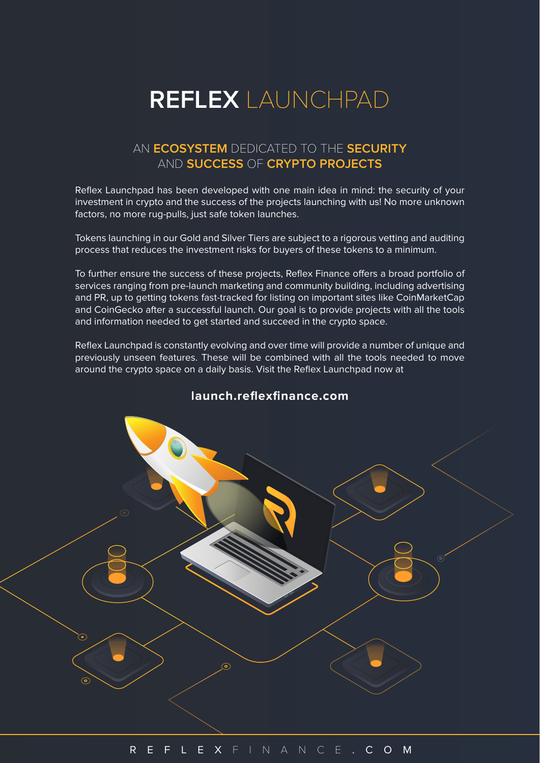## **REFLEX** LAUNCHPAD

### AN **ECOSYSTEM** DEDICATED TO THE **SECURITY** AND **SUCCESS** OF **CRYPTO PROJECTS**

Reflex Launchpad has been developed with one main idea in mind: the security of your investment in crypto and the success of the projects launching with us! No more unknown factors, no more rug-pulls, just safe token launches.

Tokens launching in our Gold and Silver Tiers are subject to a rigorous vetting and auditing process that reduces the investment risks for buyers of these tokens to a minimum.

To further ensure the success of these projects, Reflex Finance offers a broad portfolio of services ranging from pre-launch marketing and community building, including advertising and PR, up to getting tokens fast-tracked for listing on important sites like CoinMarketCap and CoinGecko after a successful launch. Our goal is to provide projects with all the tools and information needed to get started and succeed in the crypto space.

Reflex Launchpad is constantly evolving and over time will provide a number of unique and previously unseen features. These will be combined with all the tools needed to move around the crypto space on a daily basis. Visit the Reflex Launchpad now at

## **launch.reflexfinance.com**

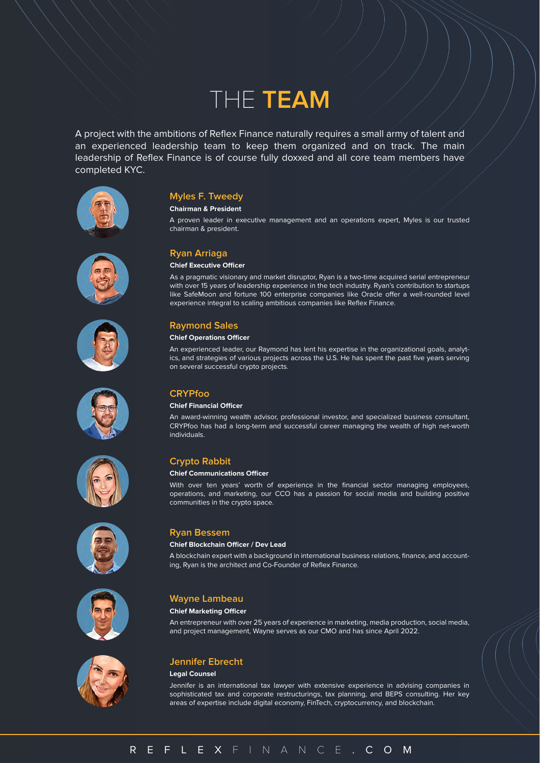## THE **TEAM**

A project with the ambitions of Reflex Finance naturally requires a small army of talent and an experienced leadership team to keep them organized and on track. The main leadership of Reflex Finance is of course fully doxxed and all core team members have completed KYC.

















#### **Chairman & President**

A proven leader in executive management and an operations expert, Myles is our trusted chairman & president.

#### **Ryan Arriaga**

#### **Chief Executive Officer**

As a pragmatic visionary and market disruptor, Ryan is a two-time acquired serial entrepreneur with over 15 years of leadership experience in the tech industry. Ryan's contribution to startups like SafeMoon and fortune 100 enterprise companies like Oracle offer a well-rounded level experience integral to scaling ambitious companies like Reflex Finance.

#### **Raymond Sales**

#### **Chief Operations Officer**

An experienced leader, our Raymond has lent his expertise in the organizational goals, analytics, and strategies of various projects across the U.S. He has spent the past five years serving on several successful crypto projects.

#### **CRYPfoo**

#### **Chief Financial Officer**

An award-winning wealth advisor, professional investor, and specialized business consultant, CRYPfoo has had a long-term and successful career managing the wealth of high net-worth individuals.

#### **Crypto Rabbit**

#### **Chief Communications Officer**

With over ten years' worth of experience in the financial sector managing employees, operations, and marketing, our CCO has a passion for social media and building positive communities in the crypto space.

#### **Ryan Bessem**

#### **Chief Blockchain Officer / Dev Lead**

A blockchain expert with a background in international business relations, finance, and accounting, Ryan is the architect and Co-Founder of Reflex Finance.

#### **Wayne Lambeau**

#### **Chief Marketing Officer**

An entrepreneur with over 25 years of experience in marketing, media production, social media, and project management, Wayne serves as our CMO and has since April 2022.



#### **Jennifer Ebrecht**

#### **Legal Counsel**

Jennifer is an international tax lawyer with extensive experience in advising companies in sophisticated tax and corporate restructurings, tax planning, and BEPS consulting. Her key areas of expertise include digital economy, FinTech, cryptocurrency, and blockchain.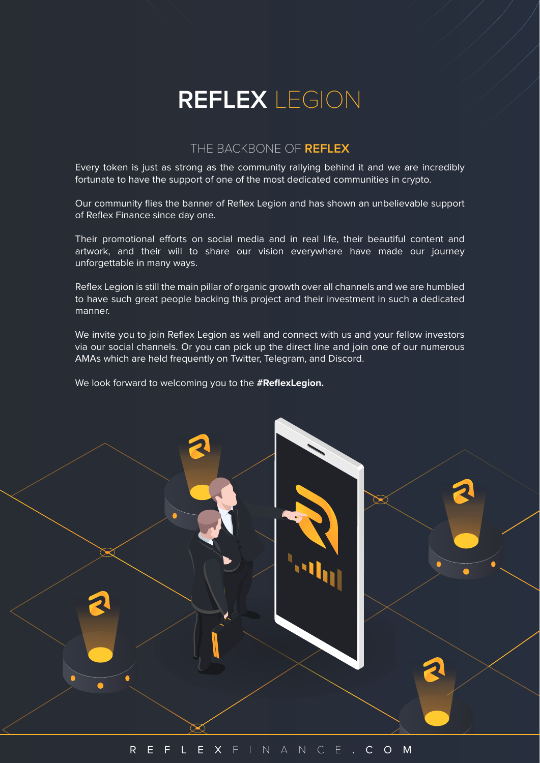## **REFLEX** LEGION

### THE BACKBONE OF **REFLEX**

Every token is just as strong as the community rallying behind it and we are incredibly fortunate to have the support of one of the most dedicated communities in crypto.

Our community flies the banner of Reflex Legion and has shown an unbelievable support of Reflex Finance since day one.

Their promotional efforts on social media and in real life, their beautiful content and artwork, and their will to share our vision everywhere have made our journey unforgettable in many ways.

Reflex Legion is still the main pillar of organic growth over all channels and we are humbled to have such great people backing this project and their investment in such a dedicated manner.

We invite you to join Reflex Legion as well and connect with us and your fellow investors via our social channels. Or you can pick up the direct line and join one of our numerous AMAs which are held frequently on Twitter, Telegram, and Discord.

We look forward to welcoming you to the **#ReflexLegion.**